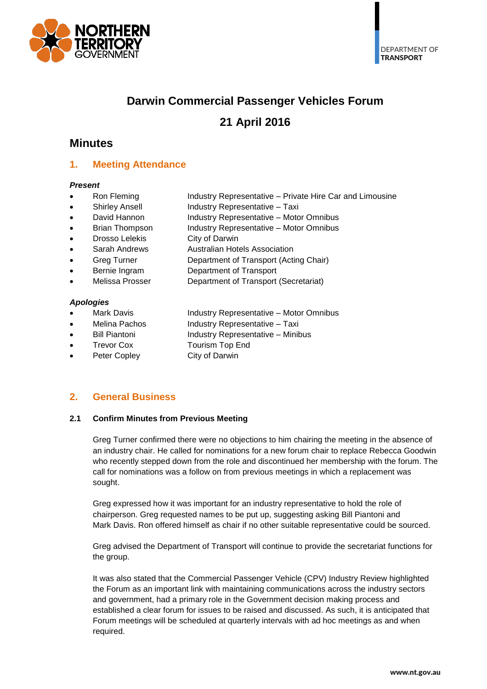

# **Darwin Commercial Passenger Vehicles Forum**

# **21 April 2016**

# **Minutes**

## **1. Meeting Attendance**

#### *Present*

- Ron Fleming **Industry Representative Private Hire Car and Limousine**
- Shirley Ansell **Industry Representative Taxi** 
	- David Hannon Industry Representative Motor Omnibus
	- Brian Thompson Industry Representative Motor Omnibus
- Drosso Lelekis City of Darwin
- Sarah Andrews **Australian Hotels Association**
- Greg Turner **Department of Transport (Acting Chair)**
- Bernie Ingram Department of Transport
- Melissa Prosser Department of Transport (Secretariat)

#### *Apologies*

- Mark Davis **Industry Representative Motor Omnibus**
- Melina Pachos **Industry Representative Taxi** 
	- Bill Piantoni **Industry Representative Minibus**
- - Trevor Cox Tourism Top End
- Peter Copley City of Darwin

## **2. General Business**

### **2.1 Confirm Minutes from Previous Meeting**

Greg Turner confirmed there were no objections to him chairing the meeting in the absence of an industry chair. He called for nominations for a new forum chair to replace Rebecca Goodwin who recently stepped down from the role and discontinued her membership with the forum. The call for nominations was a follow on from previous meetings in which a replacement was sought.

Greg expressed how it was important for an industry representative to hold the role of chairperson. Greg requested names to be put up, suggesting asking Bill Piantoni and Mark Davis. Ron offered himself as chair if no other suitable representative could be sourced.

Greg advised the Department of Transport will continue to provide the secretariat functions for the group.

It was also stated that the Commercial Passenger Vehicle (CPV) Industry Review highlighted the Forum as an important link with maintaining communications across the industry sectors and government, had a primary role in the Government decision making process and established a clear forum for issues to be raised and discussed. As such, it is anticipated that Forum meetings will be scheduled at quarterly intervals with ad hoc meetings as and when required.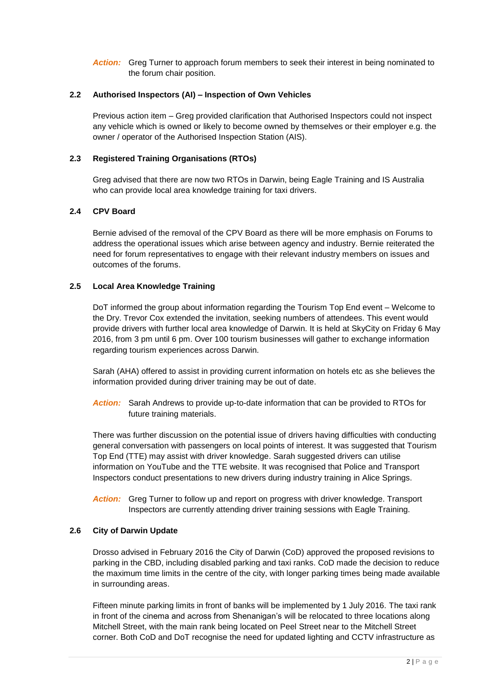Action: Greg Turner to approach forum members to seek their interest in being nominated to the forum chair position.

### **2.2 Authorised Inspectors (AI) – Inspection of Own Vehicles**

Previous action item – Greg provided clarification that Authorised Inspectors could not inspect any vehicle which is owned or likely to become owned by themselves or their employer e.g. the owner / operator of the Authorised Inspection Station (AIS).

### **2.3 Registered Training Organisations (RTOs)**

Greg advised that there are now two RTOs in Darwin, being Eagle Training and IS Australia who can provide local area knowledge training for taxi drivers.

#### **2.4 CPV Board**

Bernie advised of the removal of the CPV Board as there will be more emphasis on Forums to address the operational issues which arise between agency and industry. Bernie reiterated the need for forum representatives to engage with their relevant industry members on issues and outcomes of the forums.

#### **2.5 Local Area Knowledge Training**

DoT informed the group about information regarding the Tourism Top End event – Welcome to the Dry. Trevor Cox extended the invitation, seeking numbers of attendees. This event would provide drivers with further local area knowledge of Darwin. It is held at SkyCity on Friday 6 May 2016, from 3 pm until 6 pm. Over 100 tourism businesses will gather to exchange information regarding tourism experiences across Darwin.

Sarah (AHA) offered to assist in providing current information on hotels etc as she believes the information provided during driver training may be out of date.

*Action:* Sarah Andrews to provide up-to-date information that can be provided to RTOs for future training materials.

There was further discussion on the potential issue of drivers having difficulties with conducting general conversation with passengers on local points of interest. It was suggested that Tourism Top End (TTE) may assist with driver knowledge. Sarah suggested drivers can utilise information on YouTube and the TTE website. It was recognised that Police and Transport Inspectors conduct presentations to new drivers during industry training in Alice Springs.

*Action:* Greg Turner to follow up and report on progress with driver knowledge. Transport Inspectors are currently attending driver training sessions with Eagle Training.

#### **2.6 City of Darwin Update**

Drosso advised in February 2016 the City of Darwin (CoD) approved the proposed revisions to parking in the CBD, including disabled parking and taxi ranks. CoD made the decision to reduce the maximum time limits in the centre of the city, with longer parking times being made available in surrounding areas.

Fifteen minute parking limits in front of banks will be implemented by 1 July 2016. The taxi rank in front of the cinema and across from Shenanigan's will be relocated to three locations along Mitchell Street, with the main rank being located on Peel Street near to the Mitchell Street corner. Both CoD and DoT recognise the need for updated lighting and CCTV infrastructure as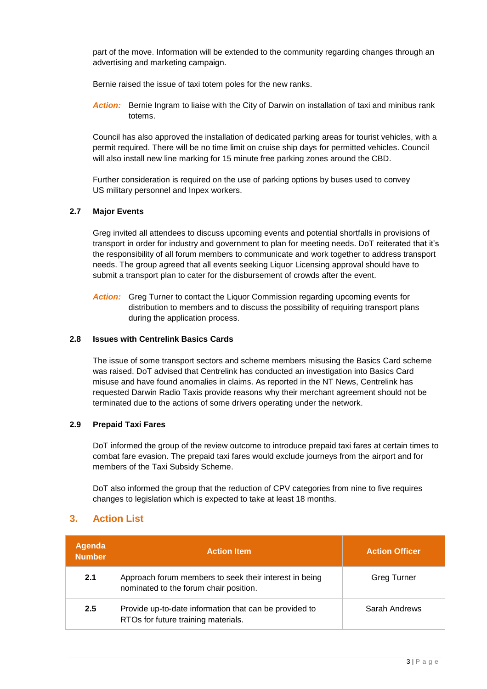part of the move. Information will be extended to the community regarding changes through an advertising and marketing campaign.

Bernie raised the issue of taxi totem poles for the new ranks.

*Action:* Bernie Ingram to liaise with the City of Darwin on installation of taxi and minibus rank totems.

Council has also approved the installation of dedicated parking areas for tourist vehicles, with a permit required. There will be no time limit on cruise ship days for permitted vehicles. Council will also install new line marking for 15 minute free parking zones around the CBD.

Further consideration is required on the use of parking options by buses used to convey US military personnel and Inpex workers.

### **2.7 Major Events**

Greg invited all attendees to discuss upcoming events and potential shortfalls in provisions of transport in order for industry and government to plan for meeting needs. DoT reiterated that it's the responsibility of all forum members to communicate and work together to address transport needs. The group agreed that all events seeking Liquor Licensing approval should have to submit a transport plan to cater for the disbursement of crowds after the event.

*Action:* Greg Turner to contact the Liquor Commission regarding upcoming events for distribution to members and to discuss the possibility of requiring transport plans during the application process.

#### **2.8 Issues with Centrelink Basics Cards**

The issue of some transport sectors and scheme members misusing the Basics Card scheme was raised. DoT advised that Centrelink has conducted an investigation into Basics Card misuse and have found anomalies in claims. As reported in the NT News, Centrelink has requested Darwin Radio Taxis provide reasons why their merchant agreement should not be terminated due to the actions of some drivers operating under the network.

### **2.9 Prepaid Taxi Fares**

DoT informed the group of the review outcome to introduce prepaid taxi fares at certain times to combat fare evasion. The prepaid taxi fares would exclude journeys from the airport and for members of the Taxi Subsidy Scheme.

DoT also informed the group that the reduction of CPV categories from nine to five requires changes to legislation which is expected to take at least 18 months.

### **3. Action List**

| Agenda<br><b>Number</b> | <b>Action Item</b>                                                                               | <b>Action Officer</b> |
|-------------------------|--------------------------------------------------------------------------------------------------|-----------------------|
| 2.1                     | Approach forum members to seek their interest in being<br>nominated to the forum chair position. | <b>Greg Turner</b>    |
| 2.5                     | Provide up-to-date information that can be provided to<br>RTOs for future training materials.    | Sarah Andrews         |